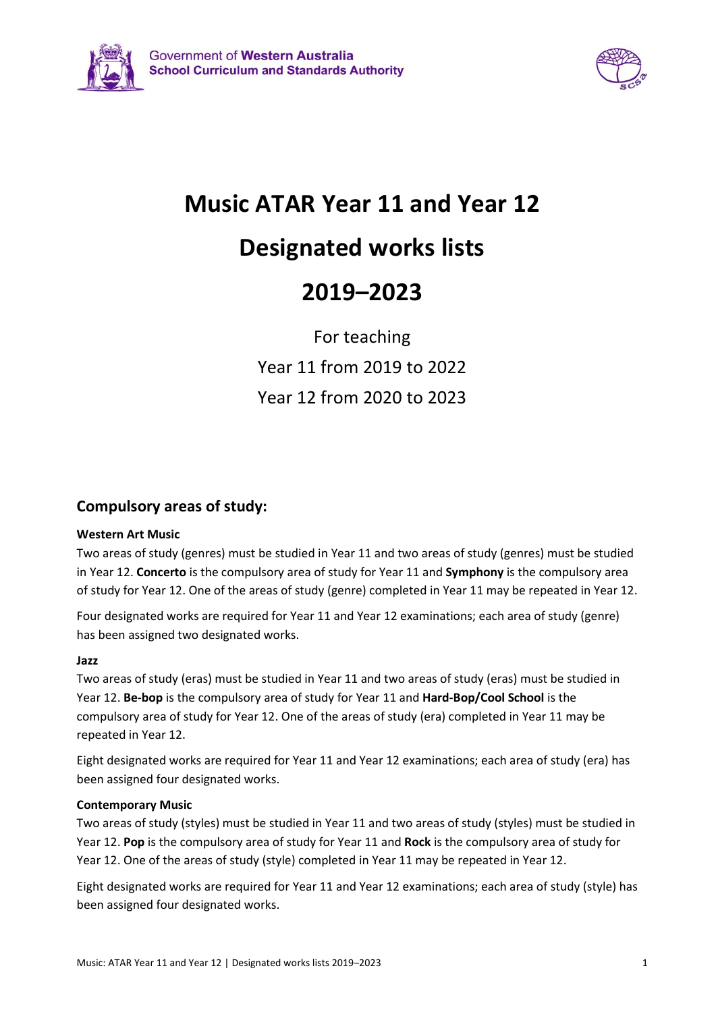



# **Music ATAR Year 11 and Year 12**

# **Designated works lists**

# **2019–2023**

For teaching Year 11 from 2019 to 2022 Year 12 from 2020 to 2023

## **Compulsory areas of study:**

#### **Western Art Music**

Two areas of study (genres) must be studied in Year 11 and two areas of study (genres) must be studied in Year 12. **Concerto** is the compulsory area of study for Year 11 and **Symphony** is the compulsory area of study for Year 12. One of the areas of study (genre) completed in Year 11 may be repeated in Year 12.

Four designated works are required for Year 11 and Year 12 examinations; each area of study (genre) has been assigned two designated works.

#### **Jazz**

Two areas of study (eras) must be studied in Year 11 and two areas of study (eras) must be studied in Year 12. **Be-bop** is the compulsory area of study for Year 11 and **Hard-Bop/Cool School** is the compulsory area of study for Year 12. One of the areas of study (era) completed in Year 11 may be repeated in Year 12.

Eight designated works are required for Year 11 and Year 12 examinations; each area of study (era) has been assigned four designated works.

#### **Contemporary Music**

Two areas of study (styles) must be studied in Year 11 and two areas of study (styles) must be studied in Year 12. **Pop** is the compulsory area of study for Year 11 and **Rock** is the compulsory area of study for Year 12. One of the areas of study (style) completed in Year 11 may be repeated in Year 12.

Eight designated works are required for Year 11 and Year 12 examinations; each area of study (style) has been assigned four designated works.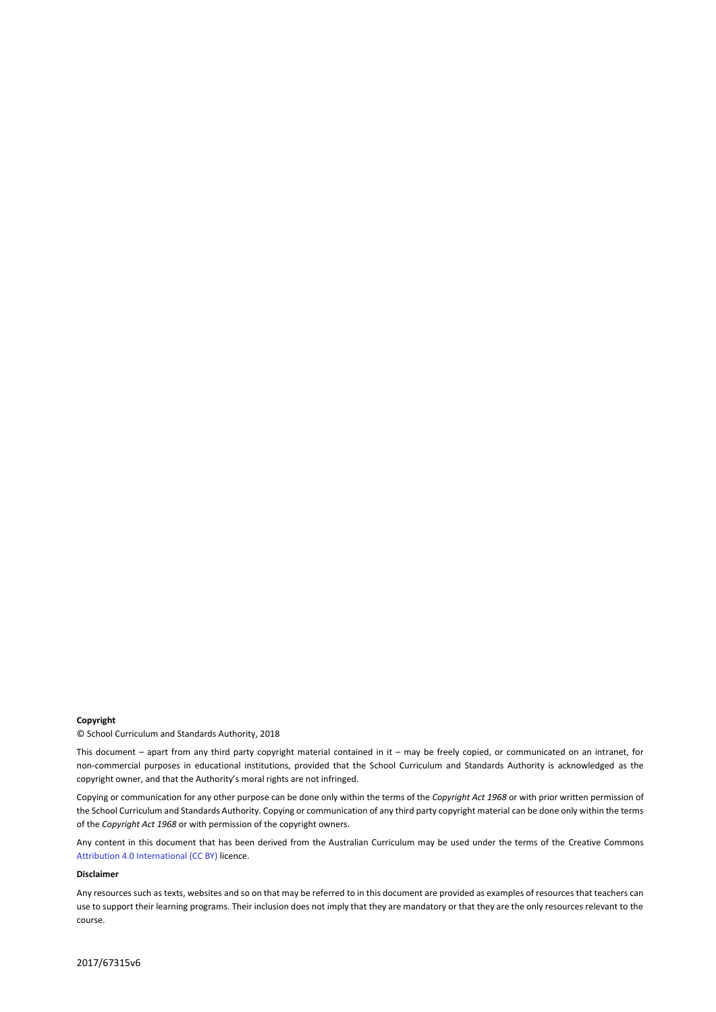#### **Copyright**

© School Curriculum and Standards Authority, 2018

This document – apart from any third party copyright material contained in it – may be freely copied, or communicated on an intranet, for non-commercial purposes in educational institutions, provided that the School Curriculum and Standards Authority is acknowledged as the copyright owner, and that the Authority's moral rights are not infringed.

Copying or communication for any other purpose can be done only within the terms of the *Copyright Act 1968* or with prior written permission of the School Curriculum and Standards Authority. Copying or communication of any third party copyright material can be done only within the terms of the *Copyright Act 1968* or with permission of the copyright owners.

Any content in this document that has been derived from the Australian Curriculum may be used under the terms of the Creative Commons [Attribution 4.0 International \(CC BY\)](https://creativecommons.org/licenses/by/4.0/) licence.

#### **Disclaimer**

Any resources such as texts, websites and so on that may be referred to in this document are provided as examples of resources that teachers can use to support their learning programs. Their inclusion does not imply that they are mandatory or that they are the only resources relevant to the course.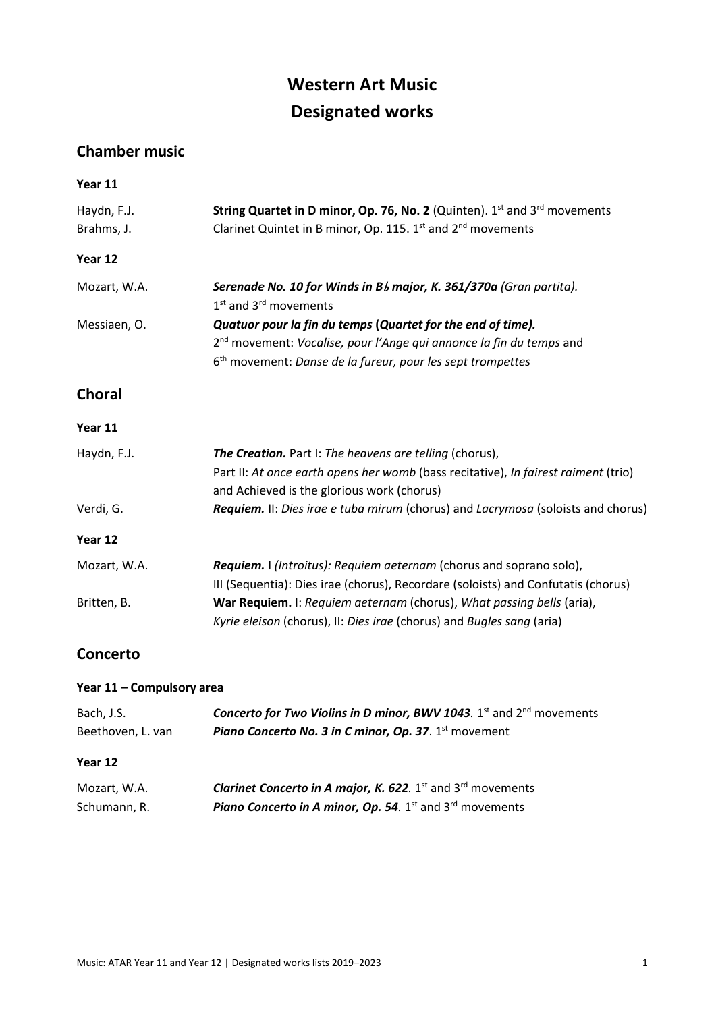## **Western Art Music Designated works**

## **Chamber music**

| Year 11                   |                                                                                                                                                      |
|---------------------------|------------------------------------------------------------------------------------------------------------------------------------------------------|
| Haydn, F.J.<br>Brahms, J. | String Quartet in D minor, Op. 76, No. 2 (Quinten). 1st and 3rd movements<br>Clarinet Quintet in B minor, Op. 115. 1st and 2 <sup>nd</sup> movements |
| Year 12                   |                                                                                                                                                      |
| Mozart, W.A.              | Serenade No. 10 for Winds in Bb major, K. 361/370a (Gran partita).<br>1 <sup>st</sup> and 3 <sup>rd</sup> movements                                  |
| Messiaen, O.              | Quatuor pour la fin du temps (Quartet for the end of time).                                                                                          |
|                           | 2 <sup>nd</sup> movement: Vocalise, pour l'Ange qui annonce la fin du temps and                                                                      |
|                           | 6 <sup>th</sup> movement: Danse de la fureur, pour les sept trompettes                                                                               |
| <b>Choral</b>             |                                                                                                                                                      |
| Year 11                   |                                                                                                                                                      |
| Haydn, F.J.               | The Creation. Part I: The heavens are telling (chorus),                                                                                              |
|                           | Part II: At once earth opens her womb (bass recitative), In fairest raiment (trio)<br>and Achieved is the glorious work (chorus)                     |
| Verdi, G.                 | Requiem. II: Dies irae e tuba mirum (chorus) and Lacrymosa (soloists and chorus)                                                                     |
| Year 12                   |                                                                                                                                                      |
| Mozart, W.A.              | Requiem. I (Introitus): Requiem aeternam (chorus and soprano solo),                                                                                  |
|                           | III (Sequentia): Dies irae (chorus), Recordare (soloists) and Confutatis (chorus)                                                                    |
| Britten, B.               | War Requiem. I: Requiem aeternam (chorus), What passing bells (aria),<br>Kyrie eleison (chorus), II: Dies irae (chorus) and Bugles sang (aria)       |
| <b>Concerto</b>           |                                                                                                                                                      |

### **Year 11 – Compulsory area**

| Bach, J.S.        | Concerto for Two Violins in D minor, BWV 1043. 1st and 2nd movements                       |
|-------------------|--------------------------------------------------------------------------------------------|
| Beethoven, L. van | Piano Concerto No. 3 in C minor, Op. 37. 1 <sup>st</sup> movement                          |
| Year 12           |                                                                                            |
|                   |                                                                                            |
| Mozart, W.A.      | <b>Clarinet Concerto in A major, K. 622.</b> 1 <sup>st</sup> and 3 <sup>rd</sup> movements |
| Schumann, R.      | <b>Piano Concerto in A minor, Op. 54.</b> $1^{st}$ and $3^{rd}$ movements                  |
|                   |                                                                                            |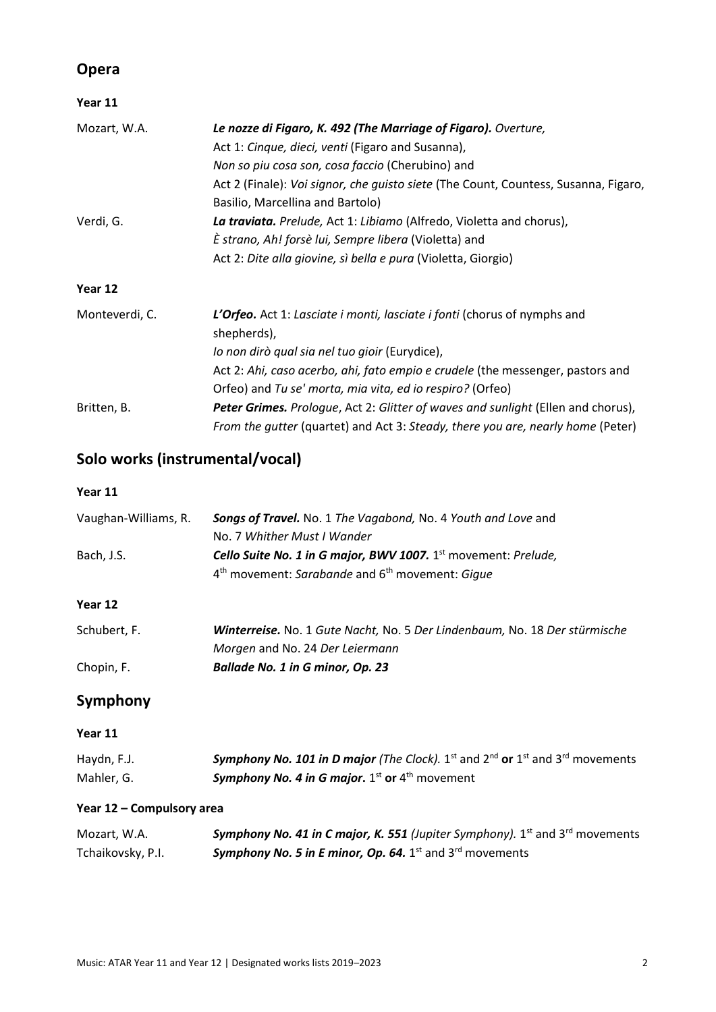## **Opera**

| Year 11        |                                                                                         |
|----------------|-----------------------------------------------------------------------------------------|
| Mozart, W.A.   | Le nozze di Figaro, K. 492 (The Marriage of Figaro). Overture,                          |
|                | Act 1: Cinque, dieci, venti (Figaro and Susanna),                                       |
|                | Non so piu cosa son, cosa faccio (Cherubino) and                                        |
|                | Act 2 (Finale): Voi signor, che guisto siete (The Count, Countess, Susanna, Figaro,     |
|                | Basilio, Marcellina and Bartolo)                                                        |
| Verdi, G.      | La traviata. Prelude, Act 1: Libiamo (Alfredo, Violetta and chorus),                    |
|                | È strano, Ah! forsè lui, Sempre libera (Violetta) and                                   |
|                | Act 2: Dite alla giovine, sì bella e pura (Violetta, Giorgio)                           |
| Year 12        |                                                                                         |
| Monteverdi, C. | L'Orfeo. Act 1: Lasciate i monti, lasciate i fonti (chorus of nymphs and                |
|                | shepherds),                                                                             |
|                | lo non dirò qual sia nel tuo gioir (Eurydice),                                          |
|                | Act 2: Ahi, caso acerbo, ahi, fato empio e crudele (the messenger, pastors and          |
|                | Orfeo) and Tu se' morta, mia vita, ed io respiro? (Orfeo)                               |
| Britten, B.    | <b>Peter Grimes.</b> Prologue, Act 2: Glitter of waves and sunlight (Ellen and chorus), |
|                | From the gutter (quartet) and Act 3: Steady, there you are, nearly home (Peter)         |

## **Solo works (instrumental/vocal)**

**Year 11**

| Vaughan-Williams, R. | Songs of Travel. No. 1 The Vagabond, No. 4 Youth and Love and              |
|----------------------|----------------------------------------------------------------------------|
|                      | No. 7 Whither Must I Wander                                                |
| Bach, J.S.           | Cello Suite No. 1 in G major, BWV 1007. 1 <sup>st</sup> movement: Prelude, |
|                      | 4 <sup>th</sup> movement: Sarabande and 6 <sup>th</sup> movement: Gigue    |
| Year 12              |                                                                            |
| Schubert, F.         | Winterreise. No. 1 Gute Nacht, No. 5 Der Lindenbaum, No. 18 Der stürmische |
|                      | Morgen and No. 24 Der Leiermann                                            |
| Chopin, F.           | Ballade No. 1 in G minor, Op. 23                                           |

## **Symphony**

### **Year 11**

| Haydn, F.J. | <b>Symphony No. 101 in D major</b> (The Clock). 1 <sup>st</sup> and 2 <sup>nd</sup> or 1 <sup>st</sup> and 3 <sup>rd</sup> movements |
|-------------|--------------------------------------------------------------------------------------------------------------------------------------|
| Mahler, G.  | <b>Symphony No. 4 in G major.</b> 1 <sup>st</sup> or 4 <sup>th</sup> movement                                                        |

#### **Year 12 – Compulsory area**

| Mozart, W.A.      | <b>Symphony No. 41 in C major, K. 551</b> (Jupiter Symphony). 1 <sup>st</sup> and 3 <sup>rd</sup> movements |
|-------------------|-------------------------------------------------------------------------------------------------------------|
| Tchaikovsky, P.I. | <b>Symphony No. 5 in E minor, Op. 64.</b> 1 <sup>st</sup> and 3 <sup>rd</sup> movements                     |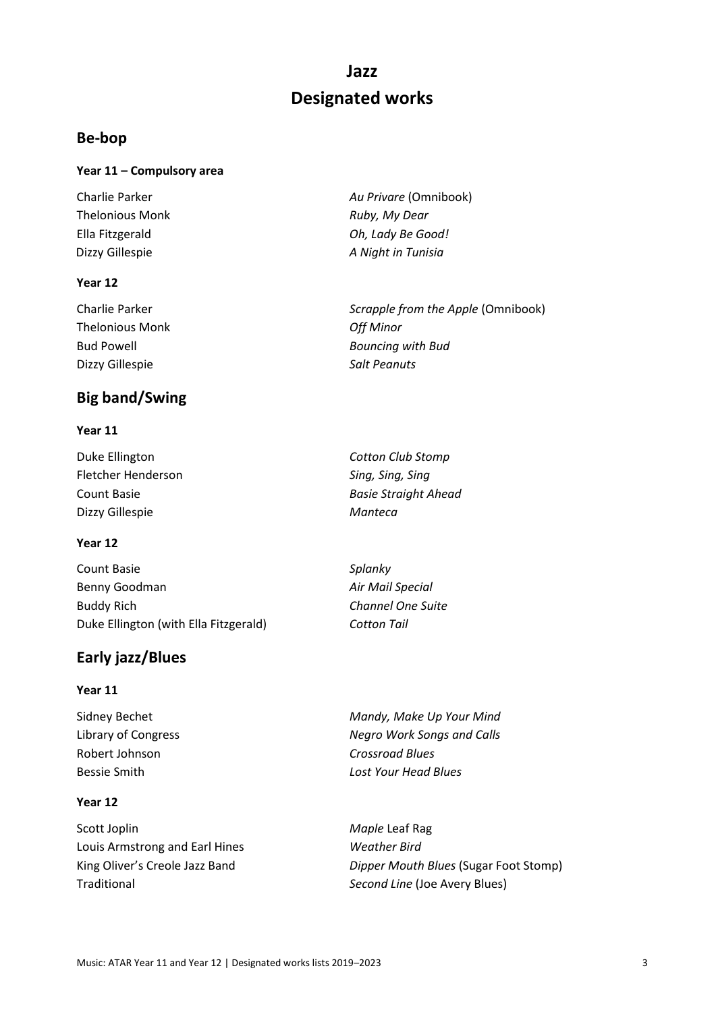## **Jazz Designated works**

## **Be-bop**

#### **Year 11 – Compulsory area**

Charlie Parker *Au Privare* (Omnibook) Thelonious Monk *Ruby, My Dear* Ella Fitzgerald *Oh, Lady Be Good!* Dizzy Gillespie *A Night in Tunisia*

#### **Year 12**

| Scrapple from the Apple (Omnibook) |
|------------------------------------|
| Off Minor                          |
| <b>Bouncing with Bud</b>           |
| <b>Salt Peanuts</b>                |
|                                    |

## **Big band/Swing**

#### **Year 11**

| Duke Ellington     | <b>Cotton Club Stomp</b>    |
|--------------------|-----------------------------|
| Fletcher Henderson | Sing, Sing, Sing            |
| Count Basie        | <b>Basie Straight Ahead</b> |
| Dizzy Gillespie    | Manteca                     |

#### **Year 12**

| Count Basie                           | Splanky                  |
|---------------------------------------|--------------------------|
| Benny Goodman                         | Air Mail Special         |
| <b>Buddy Rich</b>                     | <b>Channel One Suite</b> |
| Duke Ellington (with Ella Fitzgerald) | <b>Cotton Tail</b>       |

## **Early jazz/Blues**

#### **Year 11**

Robert Johnson *Crossroad Blues*

#### **Year 12**

Scott Joplin *Maple* Leaf Rag Louis Armstrong and Earl Hines *Weather Bird* Traditional *Second Line* (Joe Avery Blues)

Sidney Bechet *Mandy, Make Up Your Mind* Library of Congress *Negro Work Songs and Calls* Bessie Smith *Lost Your Head Blues*

King Oliver's Creole Jazz Band *Dipper Mouth Blues* (Sugar Foot Stomp)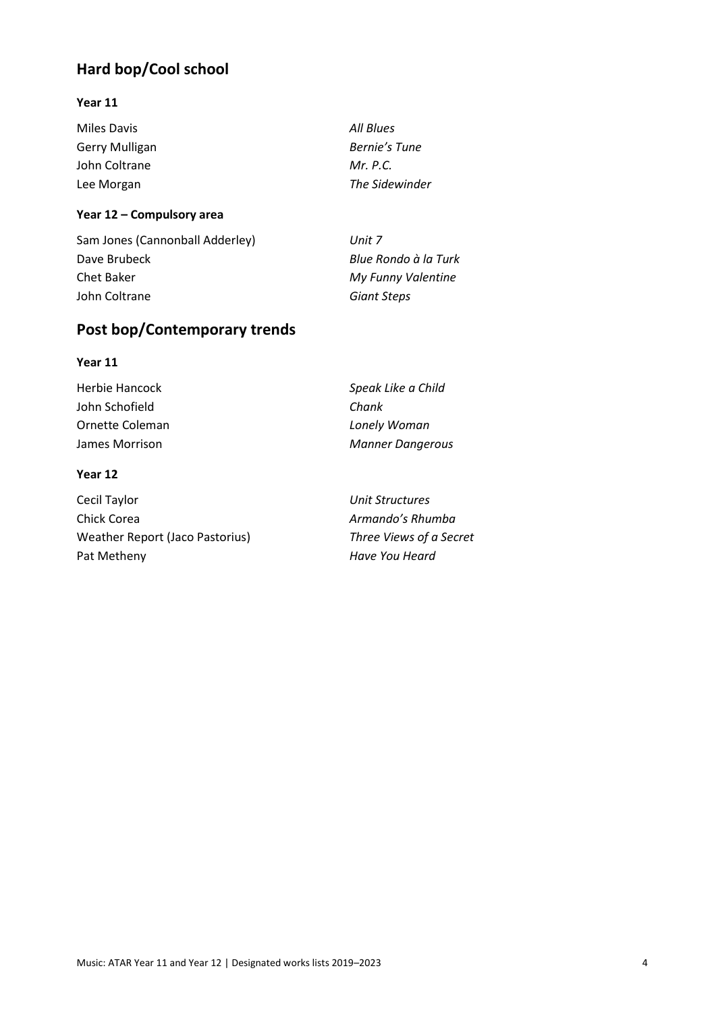## **Hard bop/Cool school**

#### **Year 11**

| Miles Davis           |  |
|-----------------------|--|
| <b>Gerry Mulligan</b> |  |
| John Coltrane         |  |
| Lee Morgan            |  |

Miles Davis *All Blues* Bernie's Tune *Mr. P.C.* **The Sidewinder** 

#### **Year 12 – Compulsory area**

| Sam Jones (Cannonball Adderley) | Unit 7               |
|---------------------------------|----------------------|
| Dave Brubeck                    | Blue Rondo à la Turk |
| Chet Baker                      | My Funny Valentine   |
| John Coltrane                   | Giant Steps          |
|                                 |                      |

## **Post bop/Contemporary trends**

#### **Year 11**

| Herbie Hancock  | Speak Like a Child      |
|-----------------|-------------------------|
| John Schofield  | Chank                   |
| Ornette Coleman | Lonely Woman            |
| James Morrison  | <b>Manner Dangerous</b> |
|                 |                         |

#### **Year 12**

| Cecil Taylor                           | Unit Structures  |
|----------------------------------------|------------------|
| Chick Corea                            | Armando's Rhun   |
| <b>Weather Report (Jaco Pastorius)</b> | Three Views of a |
| Pat Metheny                            | Have You Heard   |

**Unit Structures** Armando's Rhumba Three Views of a Secret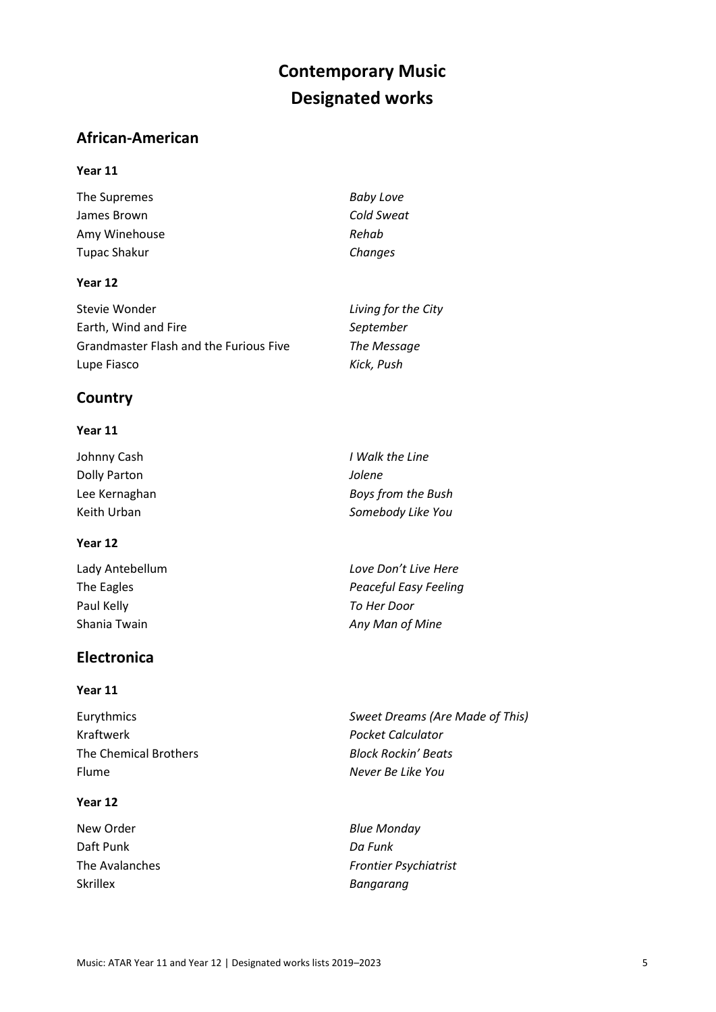## **Contemporary Music Designated works**

## **African-American**

#### **Year 11**

The Supremes *Baby Love* James Brown *Cold Sweat* Amy Winehouse *Rehab* Tupac Shakur *Changes*

#### **Year 12**

| Stevie Wonder                          | Living for the City |
|----------------------------------------|---------------------|
| Earth, Wind and Fire                   | September           |
| Grandmaster Flash and the Furious Five | The Message         |
| Lupe Fiasco                            | Kick, Push          |

### **Country**

#### **Year 11**

| Johnny Cash   | I Walk the Line    |
|---------------|--------------------|
| Dolly Parton  | Jolene             |
| Lee Kernaghan | Boys from the Bush |
| Keith Urban   | Somebody Like You  |

#### **Year 12**

| Lady Antebellum | Love Don't Live Here  |
|-----------------|-----------------------|
| The Eagles      | Peaceful Easy Feeling |
| Paul Kelly      | To Her Door           |
| Shania Twain    | Any Man of Mine       |
|                 |                       |

## **Electronica**

#### **Year 11**

| Eurythmics            | Sweet Dreams (Are Made of This) |
|-----------------------|---------------------------------|
| Kraftwerk             | Pocket Calculator               |
| The Chemical Brothers | <b>Block Rockin' Beats</b>      |
| Flume                 | Never Be Like You               |
|                       |                                 |

#### **Year 12**

New Order *Blue Monday* Daft Punk *Da Funk* Skrillex *Bangarang*

The Avalanches *Frontier Psychiatrist*